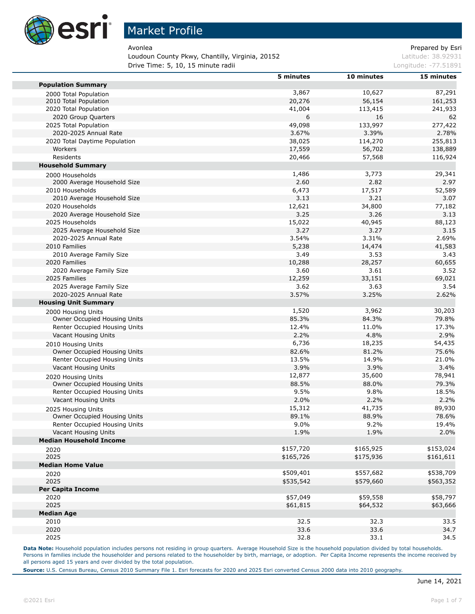

Loudoun County Pkwy, Chantilly, Virginia, 20152 March 2015 1998 1998 Latitude: 38.92931 **Drive Time: 5, 10, 15 minute radii Longitude: -77.51891** Longitude: -77.51891

Avonlea **Avonlea** Prepared by Esri

|                                                    | 5 minutes | 10 minutes | 15 minutes |
|----------------------------------------------------|-----------|------------|------------|
| <b>Population Summary</b>                          |           |            |            |
| 2000 Total Population                              | 3,867     | 10,627     | 87,291     |
| 2010 Total Population                              | 20,276    | 56,154     | 161,253    |
| 2020 Total Population                              | 41,004    | 113,415    | 241,933    |
| 2020 Group Quarters                                | 6         | 16         | 62         |
| 2025 Total Population                              | 49,098    | 133,997    | 277,422    |
| 2020-2025 Annual Rate                              | 3.67%     | 3.39%      | 2.78%      |
| 2020 Total Daytime Population                      | 38,025    | 114,270    | 255,813    |
| Workers                                            | 17,559    | 56,702     | 138,889    |
| Residents                                          | 20,466    | 57,568     | 116,924    |
| <b>Household Summary</b>                           |           |            |            |
| 2000 Households                                    | 1,486     | 3,773      | 29,341     |
| 2000 Average Household Size                        | 2.60      | 2.82       | 2.97       |
| 2010 Households                                    | 6,473     | 17,517     | 52,589     |
| 2010 Average Household Size                        | 3.13      | 3.21       | 3.07       |
| 2020 Households                                    | 12,621    | 34,800     | 77,182     |
| 2020 Average Household Size                        | 3.25      | 3.26       | 3.13       |
| 2025 Households                                    | 15,022    | 40,945     | 88,123     |
| 2025 Average Household Size                        | 3.27      | 3.27       | 3.15       |
| 2020-2025 Annual Rate                              | 3.54%     | 3.31%      | 2.69%      |
| 2010 Families                                      | 5,238     | 14,474     | 41,583     |
| 2010 Average Family Size                           | 3.49      | 3.53       | 3.43       |
| 2020 Families                                      | 10,288    | 28,257     | 60,655     |
| 2020 Average Family Size                           | 3.60      | 3.61       | 3.52       |
| 2025 Families                                      | 12,259    | 33,151     | 69,021     |
| 2025 Average Family Size                           | 3.62      | 3.63       | 3.54       |
| 2020-2025 Annual Rate                              | 3.57%     | 3.25%      | 2.62%      |
| <b>Housing Unit Summary</b>                        |           |            |            |
| 2000 Housing Units                                 | 1,520     | 3,962      | 30,203     |
| Owner Occupied Housing Units                       | 85.3%     | 84.3%      | 79.8%      |
| Renter Occupied Housing Units                      | 12.4%     | 11.0%      | 17.3%      |
| Vacant Housing Units                               | 2.2%      | 4.8%       | 2.9%       |
| 2010 Housing Units                                 | 6,736     | 18,235     | 54,435     |
| Owner Occupied Housing Units                       | 82.6%     | 81.2%      | 75.6%      |
| Renter Occupied Housing Units                      | 13.5%     | 14.9%      | 21.0%      |
| Vacant Housing Units                               | 3.9%      | 3.9%       | 3.4%       |
| 2020 Housing Units                                 | 12,877    | 35,600     | 78,941     |
| Owner Occupied Housing Units                       | 88.5%     | 88.0%      | 79.3%      |
| Renter Occupied Housing Units                      | 9.5%      | 9.8%       | 18.5%      |
| Vacant Housing Units                               | 2.0%      | 2.2%       | 2.2%       |
|                                                    | 15,312    | 41,735     | 89,930     |
| 2025 Housing Units<br>Owner Occupied Housing Units | 89.1%     | 88.9%      | 78.6%      |
| Renter Occupied Housing Units                      | 9.0%      | 9.2%       | 19.4%      |
| Vacant Housing Units                               | 1.9%      | 1.9%       | 2.0%       |
| <b>Median Household Income</b>                     |           |            |            |
|                                                    | \$157,720 | \$165,925  | \$153,024  |
| 2020<br>2025                                       | \$165,726 | \$175,936  | \$161,611  |
| <b>Median Home Value</b>                           |           |            |            |
| 2020                                               | \$509,401 | \$557,682  | \$538,709  |
| 2025                                               | \$535,542 | \$579,660  | \$563,352  |
| <b>Per Capita Income</b>                           |           |            |            |
| 2020                                               | \$57,049  | \$59,558   | \$58,797   |
| 2025                                               | \$61,815  | \$64,532   | \$63,666   |
| <b>Median Age</b>                                  |           |            |            |
| 2010                                               | 32.5      | 32.3       | 33.5       |
| 2020                                               | 33.6      | 33.6       | 34.7       |
| 2025                                               | 32.8      | 33.1       | 34.5       |

Data Note: Household population includes persons not residing in group quarters. Average Household Size is the household population divided by total households. Persons in families include the householder and persons related to the householder by birth, marriage, or adoption. Per Capita Income represents the income received by all persons aged 15 years and over divided by the total population.

**Source:** U.S. Census Bureau, Census 2010 Summary File 1. Esri forecasts for 2020 and 2025 Esri converted Census 2000 data into 2010 geography.

×

×

m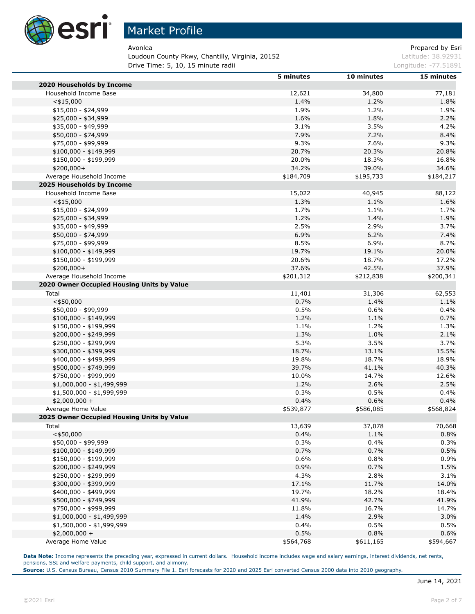

Loudoun County Pkwy, Chantilly, Virginia, 20152 March 2015 1998 1998 Latitude: 38.92931 **Drive Time: 5, 10, 15 minute radii Longitude: -77.51891** Longitude: -77.51891

Avonlea **Prepared by Esri** Prepared by Esri

|                                                | 5 minutes    | 10 minutes   | 15 minutes     |
|------------------------------------------------|--------------|--------------|----------------|
| 2020 Households by Income                      |              |              |                |
| Household Income Base                          | 12,621       | 34,800       | 77,181         |
| $<$ \$15,000                                   | 1.4%         | 1.2%         | 1.8%           |
| \$15,000 - \$24,999                            | 1.9%         | 1.2%         | 1.9%           |
| \$25,000 - \$34,999                            | 1.6%         | 1.8%         | 2.2%           |
| \$35,000 - \$49,999                            | 3.1%         | 3.5%         | 4.2%           |
| \$50,000 - \$74,999                            | 7.9%         | 7.2%         | 8.4%           |
| \$75,000 - \$99,999                            | 9.3%         | 7.6%         | 9.3%           |
| \$100,000 - \$149,999                          | 20.7%        | 20.3%        | 20.8%          |
| \$150,000 - \$199,999                          | 20.0%        | 18.3%        | 16.8%          |
| \$200,000+                                     | 34.2%        | 39.0%        | 34.6%          |
| Average Household Income                       | \$184,709    | \$195,733    | \$184,217      |
| 2025 Households by Income                      |              |              |                |
| Household Income Base                          | 15,022       | 40,945       | 88,122         |
| $<$ \$15,000                                   | 1.3%         | 1.1%         | 1.6%           |
| $$15,000 - $24,999$                            | 1.7%         | 1.1%         | 1.7%           |
| \$25,000 - \$34,999                            | 1.2%         | 1.4%         | 1.9%           |
| \$35,000 - \$49,999                            | 2.5%         | 2.9%         | 3.7%           |
| \$50,000 - \$74,999                            | 6.9%         | 6.2%         | 7.4%           |
| \$75,000 - \$99,999                            | 8.5%         | 6.9%         | 8.7%           |
| $$100,000 - $149,999$                          | 19.7%        | 19.1%        | 20.0%          |
| \$150,000 - \$199,999                          | 20.6%        | 18.7%        | 17.2%          |
| \$200,000+                                     | 37.6%        | 42.5%        | 37.9%          |
| Average Household Income                       | \$201,312    | \$212,838    | \$200,341      |
| 2020 Owner Occupied Housing Units by Value     |              |              |                |
| Total                                          | 11,401       | 31,306       | 62,553         |
| $<$ \$50,000                                   | 0.7%         | 1.4%         | 1.1%           |
| \$50,000 - \$99,999                            | 0.5%         | 0.6%         | 0.4%           |
| $$100,000 - $149,999$                          | 1.2%         | 1.1%         | 0.7%           |
| \$150,000 - \$199,999                          | 1.1%         | 1.2%         | 1.3%           |
| \$200,000 - \$249,999                          | 1.3%         | 1.0%         | 2.1%           |
| \$250,000 - \$299,999                          | 5.3%         | 3.5%         | 3.7%           |
| \$300,000 - \$399,999                          | 18.7%        | 13.1%        | 15.5%          |
| \$400,000 - \$499,999                          | 19.8%        | 18.7%        | 18.9%          |
| \$500,000 - \$749,999                          | 39.7%        | 41.1%        | 40.3%          |
| \$750,000 - \$999,999                          | 10.0%        | 14.7%        | 12.6%          |
| $$1,000,000 - $1,499,999$                      | 1.2%         | 2.6%         | 2.5%           |
| $$1,500,000 - $1,999,999$                      | 0.3%         | 0.5%         | 0.4%           |
|                                                | 0.4%         | 0.6%         | 0.4%           |
| $$2,000,000 +$<br>Average Home Value           | \$539,877    | \$586,085    | \$568,824      |
| 2025 Owner Occupied Housing Units by Value     |              |              |                |
| Total                                          | 13,639       | 37,078       | 70,668         |
| $<$ \$50,000                                   | 0.4%         | 1.1%         | 0.8%           |
|                                                |              |              |                |
| \$50,000 - \$99,999                            | 0.3%<br>0.7% | 0.4%<br>0.7% | 0.3%<br>0.5%   |
| \$100,000 - \$149,999                          | 0.6%         | 0.8%         | 0.9%           |
| \$150,000 - \$199,999<br>\$200,000 - \$249,999 | 0.9%         | 0.7%         | 1.5%           |
| \$250,000 - \$299,999                          | 4.3%         | 2.8%         | 3.1%           |
|                                                |              |              |                |
| \$300,000 - \$399,999<br>\$400,000 - \$499,999 | 17.1%        | 11.7%        | 14.0%<br>18.4% |
|                                                | 19.7%        | 18.2%        |                |
| \$500,000 - \$749,999                          | 41.9%        | 42.7%        | 41.9%          |
| \$750,000 - \$999,999                          | 11.8%        | 16.7%        | 14.7%          |
| $$1,000,000 - $1,499,999$                      | 1.4%         | 2.9%         | 3.0%           |
| \$1,500,000 - \$1,999,999                      | 0.4%         | 0.5%         | 0.5%           |
| $$2,000,000 +$                                 | 0.5%         | 0.8%         | 0.6%           |
| Average Home Value                             | \$564,768    | \$611,165    | \$594,667      |

**Data Note:** Income represents the preceding year, expressed in current dollars. Household income includes wage and salary earnings, interest dividends, net rents, pensions, SSI and welfare payments, child support, and alimony.

**Source:** U.S. Census Bureau, Census 2010 Summary File 1. Esri forecasts for 2020 and 2025 Esri converted Census 2000 data into 2010 geography.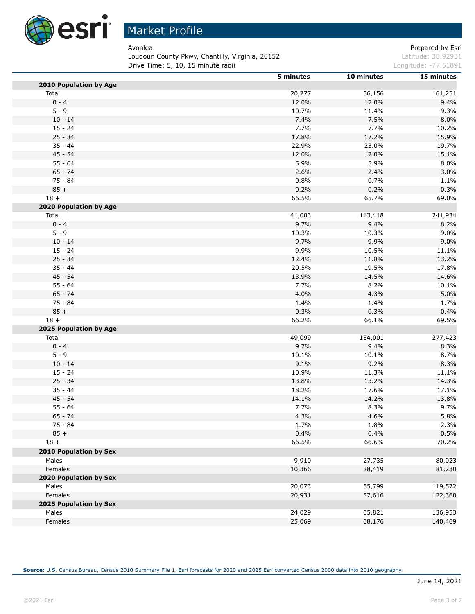

Loudoun County Pkwy, Chantilly, Virginia, 20152 Material Channel Assembly Latitude: 38.92931 Drive Time: 5, 10, 15 minute radii and a control of the control of the Longitude: -77.51891

Avonlea **Prepared by Esri** 

|                                 | 5 minutes | 10 minutes | 15 minutes |
|---------------------------------|-----------|------------|------------|
| 2010 Population by Age          |           |            |            |
| Total                           | 20,277    | 56,156     | 161,251    |
| $0 - 4$                         | 12.0%     | 12.0%      | 9.4%       |
| $5 - 9$                         | 10.7%     | 11.4%      | 9.3%       |
| $10 - 14$                       | 7.4%      | 7.5%       | 8.0%       |
| $15 - 24$                       | 7.7%      | 7.7%       | 10.2%      |
| $25 - 34$                       | 17.8%     | 17.2%      | 15.9%      |
| $35 - 44$                       | 22.9%     | 23.0%      | 19.7%      |
| $45 - 54$                       | 12.0%     | 12.0%      | 15.1%      |
| $55 - 64$                       | 5.9%      | 5.9%       | 8.0%       |
| $65 - 74$                       | 2.6%      | 2.4%       | 3.0%       |
| 75 - 84                         | 0.8%      | 0.7%       | 1.1%       |
| $85 +$                          | 0.2%      | 0.2%       | 0.3%       |
| $18 +$                          | 66.5%     | 65.7%      | 69.0%      |
| 2020 Population by Age          |           |            |            |
| Total                           | 41,003    | 113,418    | 241,934    |
| $0 - 4$                         | 9.7%      | 9.4%       | 8.2%       |
| $5 - 9$                         | 10.3%     | 10.3%      | 9.0%       |
| $10 - 14$                       | 9.7%      | 9.9%       | 9.0%       |
| $15 - 24$                       | 9.9%      | 10.5%      | 11.1%      |
| $25 - 34$                       | 12.4%     | 11.8%      | 13.2%      |
| $35 - 44$                       | 20.5%     | 19.5%      | 17.8%      |
| $45 - 54$                       | 13.9%     | 14.5%      | 14.6%      |
| $55 - 64$                       | 7.7%      | 8.2%       | 10.1%      |
| $65 - 74$                       | 4.0%      | 4.3%       | 5.0%       |
| 75 - 84                         | 1.4%      | 1.4%       | 1.7%       |
| $85 +$                          | 0.3%      | 0.3%       | 0.4%       |
| $18 +$                          | 66.2%     | 66.1%      | 69.5%      |
| 2025 Population by Age          |           |            |            |
| Total                           | 49,099    | 134,001    | 277,423    |
| $0 - 4$                         | 9.7%      | 9.4%       | 8.3%       |
| $5 - 9$                         | 10.1%     | 10.1%      | 8.7%       |
| $10 - 14$                       | 9.1%      | 9.2%       | 8.3%       |
| $15 - 24$                       | 10.9%     | 11.3%      | 11.1%      |
| $25 - 34$                       | 13.8%     | 13.2%      | 14.3%      |
| $35 - 44$                       | 18.2%     | 17.6%      | 17.1%      |
| $45 - 54$                       | 14.1%     | 14.2%      | 13.8%      |
| $55 - 64$                       | 7.7%      | 8.3%       | 9.7%       |
| $65 - 74$                       | 4.3%      | 4.6%       | 5.8%       |
| 75 - 84                         | 1.7%      | 1.8%       | 2.3%       |
| $85 +$                          | 0.4%      | 0.4%       | 0.5%       |
| $18 +$                          | 66.5%     | 66.6%      | 70.2%      |
| <b>2010 Population by Sex</b>   |           |            |            |
| Males                           | 9,910     | 27,735     | 80,023     |
| Females                         | 10,366    |            |            |
| 2020 Population by Sex          |           | 28,419     | 81,230     |
| Males                           |           | 55,799     |            |
|                                 | 20,073    |            | 119,572    |
| Females                         | 20,931    | 57,616     | 122,360    |
| 2025 Population by Sex<br>Males | 24,029    | 65,821     | 136,953    |
|                                 |           |            |            |
| Females                         | 25,069    | 68,176     | 140,469    |

**Source:** U.S. Census Bureau, Census 2010 Summary File 1. Esri forecasts for 2020 and 2025 Esri converted Census 2000 data into 2010 geography.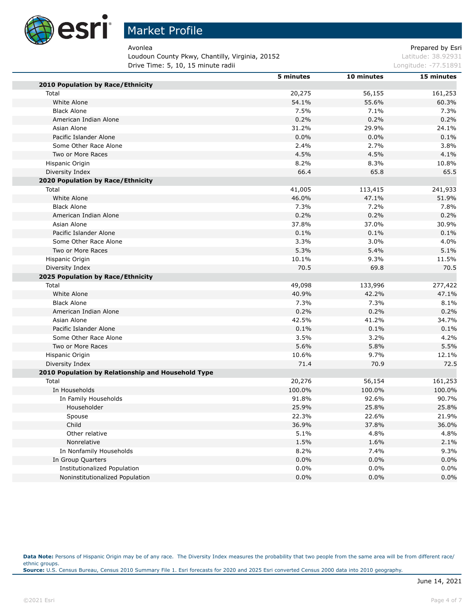

# Market Profile

Loudoun County Pkwy, Chantilly, Virginia, 20152 March 2015 1998 1998 Latitude: 38.92931 **Drive Time: 5, 10, 15 minute radii Longitude: -77.51891** Longitude: -77.51891

Avonlea **Prepared by Esri** Prepared by Esri

|                                                    | 5 minutes | 10 minutes | 15 minutes |
|----------------------------------------------------|-----------|------------|------------|
| 2010 Population by Race/Ethnicity                  |           |            |            |
| Total                                              | 20,275    | 56,155     | 161,253    |
| White Alone                                        | 54.1%     | 55.6%      | 60.3%      |
| <b>Black Alone</b>                                 | 7.5%      | 7.1%       | 7.3%       |
| American Indian Alone                              | 0.2%      | 0.2%       | 0.2%       |
| Asian Alone                                        | 31.2%     | 29.9%      | 24.1%      |
| Pacific Islander Alone                             | 0.0%      | 0.0%       | 0.1%       |
| Some Other Race Alone                              | 2.4%      | 2.7%       | 3.8%       |
| Two or More Races                                  | 4.5%      | 4.5%       | 4.1%       |
| Hispanic Origin                                    | 8.2%      | 8.3%       | 10.8%      |
| Diversity Index                                    | 66.4      | 65.8       | 65.5       |
| 2020 Population by Race/Ethnicity                  |           |            |            |
| Total                                              | 41,005    | 113,415    | 241,933    |
| White Alone                                        | 46.0%     | 47.1%      | 51.9%      |
| <b>Black Alone</b>                                 | 7.3%      | 7.2%       | 7.8%       |
| American Indian Alone                              | 0.2%      | 0.2%       | 0.2%       |
| Asian Alone                                        | 37.8%     | 37.0%      | 30.9%      |
| Pacific Islander Alone                             | 0.1%      | 0.1%       | 0.1%       |
| Some Other Race Alone                              | 3.3%      | 3.0%       | 4.0%       |
| Two or More Races                                  | 5.3%      | 5.4%       | 5.1%       |
| Hispanic Origin                                    | 10.1%     | 9.3%       | 11.5%      |
| Diversity Index                                    | 70.5      | 69.8       | 70.5       |
| <b>2025 Population by Race/Ethnicity</b>           |           |            |            |
| Total                                              | 49,098    | 133,996    | 277,422    |
| White Alone                                        | 40.9%     | 42.2%      | 47.1%      |
| <b>Black Alone</b>                                 | 7.3%      | 7.3%       | 8.1%       |
| American Indian Alone                              | 0.2%      | 0.2%       | 0.2%       |
| Asian Alone                                        | 42.5%     | 41.2%      | 34.7%      |
| Pacific Islander Alone                             | 0.1%      | 0.1%       | 0.1%       |
| Some Other Race Alone                              | 3.5%      | 3.2%       | 4.2%       |
| Two or More Races                                  | 5.6%      | 5.8%       | 5.5%       |
| Hispanic Origin                                    | 10.6%     | 9.7%       | 12.1%      |
| Diversity Index                                    | 71.4      | 70.9       | 72.5       |
| 2010 Population by Relationship and Household Type |           |            |            |
| Total                                              | 20,276    | 56,154     | 161,253    |
| In Households                                      | 100.0%    | 100.0%     | 100.0%     |
| In Family Households                               | 91.8%     | 92.6%      | 90.7%      |
| Householder                                        | 25.9%     | 25.8%      | 25.8%      |
| Spouse                                             | 22.3%     | 22.6%      | 21.9%      |
| Child                                              | 36.9%     | 37.8%      | 36.0%      |
| Other relative                                     | 5.1%      | 4.8%       | 4.8%       |
| Nonrelative                                        | 1.5%      | 1.6%       | 2.1%       |
| In Nonfamily Households                            | 8.2%      | 7.4%       | 9.3%       |
| In Group Quarters                                  | $0.0\%$   | 0.0%       | 0.0%       |
| Institutionalized Population                       | $0.0\%$   | 0.0%       | 0.0%       |
| Noninstitutionalized Population                    | 0.0%      | 0.0%       | 0.0%       |

Data Note: Persons of Hispanic Origin may be of any race. The Diversity Index measures the probability that two people from the same area will be from different race/ ethnic groups. **Source:** U.S. Census Bureau, Census 2010 Summary File 1. Esri forecasts for 2020 and 2025 Esri converted Census 2000 data into 2010 geography.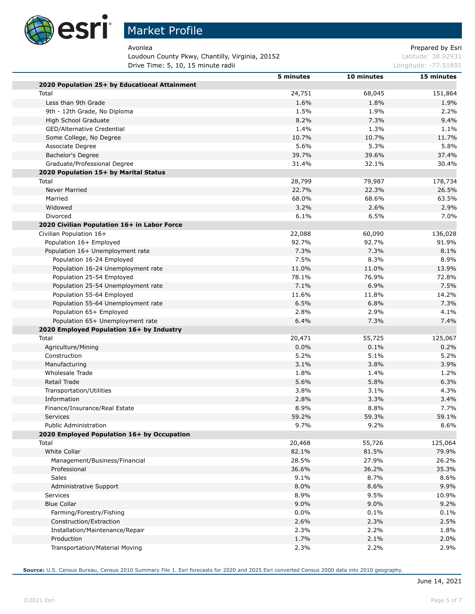

Loudoun County Pkwy, Chantilly, Virginia, 20152 March 2015 1998 1998 Latitude: 38.92931 **Drive Time: 5, 10, 15 minute radii Longitude: -77.51891** Longitude: -77.51891

Avonlea **Prepared by Esri** Prepared by Esri

|                                                                            | 5 minutes | 10 minutes | 15 minutes       |
|----------------------------------------------------------------------------|-----------|------------|------------------|
| 2020 Population 25+ by Educational Attainment                              |           |            |                  |
| Total                                                                      | 24,751    | 68,045     | 151,864          |
| Less than 9th Grade                                                        | 1.6%      | 1.8%       | 1.9%             |
| 9th - 12th Grade, No Diploma                                               | 1.5%      | 1.9%       | 2.2%             |
| High School Graduate                                                       | 8.2%      | 7.3%       | 9.4%             |
| GED/Alternative Credential                                                 | 1.4%      | 1.3%       | 1.1%             |
| Some College, No Degree                                                    | 10.7%     | 10.7%      | 11.7%            |
| Associate Degree                                                           | 5.6%      | 5.3%       | 5.8%             |
| Bachelor's Degree                                                          | 39.7%     | 39.6%      | 37.4%            |
| Graduate/Professional Degree                                               | 31.4%     | 32.1%      | 30.4%            |
| 2020 Population 15+ by Marital Status                                      |           |            |                  |
| Total                                                                      | 28,799    | 79,987     | 178,734          |
| Never Married                                                              | 22.7%     | 22.3%      | 26.5%            |
| Married                                                                    | 68.0%     | 68.6%      | 63.5%            |
| Widowed                                                                    | 3.2%      | 2.6%       | 2.9%             |
| Divorced                                                                   | 6.1%      | 6.5%       | 7.0%             |
| 2020 Civilian Population 16+ in Labor Force                                |           |            |                  |
| Civilian Population 16+                                                    | 22,088    | 60,090     | 136,028          |
| Population 16+ Employed                                                    | 92.7%     | 92.7%      | 91.9%            |
| Population 16+ Unemployment rate                                           | 7.3%      | 7.3%       | 8.1%             |
| Population 16-24 Employed                                                  | 7.5%      | 8.3%       | 8.9%             |
| Population 16-24 Unemployment rate                                         | 11.0%     | 11.0%      | 13.9%            |
| Population 25-54 Employed                                                  | 78.1%     | 76.9%      | 72.8%            |
| Population 25-54 Unemployment rate                                         | 7.1%      | 6.9%       | 7.5%             |
| Population 55-64 Employed                                                  | 11.6%     | 11.8%      | 14.2%            |
| Population 55-64 Unemployment rate                                         | 6.5%      | 6.8%       | 7.3%             |
| Population 65+ Employed                                                    | 2.8%      | 2.9%       | 4.1%             |
| Population 65+ Unemployment rate                                           | 6.4%      | 7.3%       | 7.4%             |
| 2020 Employed Population 16+ by Industry                                   |           |            |                  |
| Total                                                                      | 20,471    | 55,725     | 125,067          |
| Agriculture/Mining                                                         | 0.0%      | 0.1%       | 0.2%             |
| Construction                                                               | 5.2%      | 5.1%       | 5.2%             |
| Manufacturing                                                              | 3.1%      | 3.8%       | 3.9%             |
| Wholesale Trade                                                            | 1.8%      | 1.4%       | 1.2%             |
| Retail Trade                                                               | 5.6%      | 5.8%       | 6.3%             |
| Transportation/Utilities                                                   | 3.8%      | 3.1%       | 4.3%             |
| Information                                                                | 2.8%      | 3.3%       | 3.4%             |
|                                                                            | 8.9%      | 8.8%       | 7.7%             |
| Finance/Insurance/Real Estate                                              | 59.2%     | 59.3%      | 59.1%            |
| <b>Services</b>                                                            |           |            |                  |
| <b>Public Administration</b><br>2020 Employed Population 16+ by Occupation | 9.7%      | 9.2%       | 8.6%             |
|                                                                            |           |            |                  |
| Total                                                                      | 20,468    | 55,726     | 125,064<br>79.9% |
| White Collar                                                               | 82.1%     | 81.5%      |                  |
| Management/Business/Financial                                              | 28.5%     | 27.9%      | 26.2%            |
| Professional                                                               | 36.6%     | 36.2%      | 35.3%            |
| Sales                                                                      | 9.1%      | 8.7%       | 8.6%             |
| Administrative Support                                                     | 8.0%      | 8.6%       | 9.9%             |
| Services                                                                   | 8.9%      | 9.5%       | 10.9%            |
| <b>Blue Collar</b>                                                         | 9.0%      | 9.0%       | 9.2%             |
| Farming/Forestry/Fishing                                                   | 0.0%      | 0.1%       | 0.1%             |
| Construction/Extraction                                                    | 2.6%      | 2.3%       | 2.5%             |
| Installation/Maintenance/Repair                                            | 2.3%      | 2.2%       | 1.8%             |
| Production                                                                 | 1.7%      | 2.1%       | 2.0%             |
| Transportation/Material Moving                                             | 2.3%      | 2.2%       | 2.9%             |

**Source:** U.S. Census Bureau, Census 2010 Summary File 1. Esri forecasts for 2020 and 2025 Esri converted Census 2000 data into 2010 geography.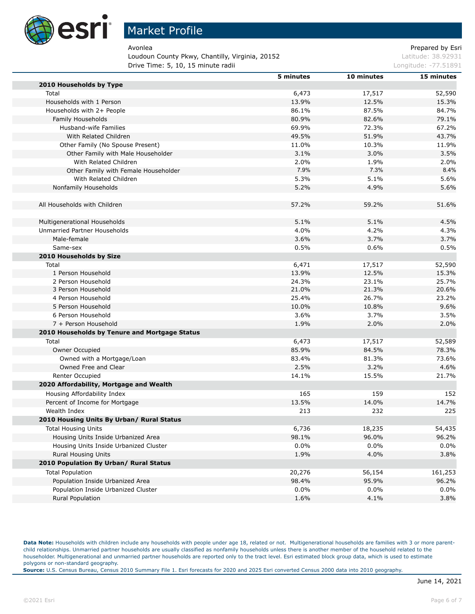

Loudoun County Pkwy, Chantilly, Virginia, 20152 March 2015 1998 1998 Latitude: 38.92931 **Drive Time: 5, 10, 15 minute radii Longitude: -77.51891** Longitude: -77.51891

Avonlea **Avonlea** Prepared by Esri

**5 minutes 10 minutes 15 minutes**

| 2010 Households by Type                       |         |         |         |
|-----------------------------------------------|---------|---------|---------|
| Total                                         | 6,473   | 17,517  | 52,590  |
| Households with 1 Person                      | 13.9%   | 12.5%   | 15.3%   |
| Households with 2+ People                     | 86.1%   | 87.5%   | 84.7%   |
| Family Households                             | 80.9%   | 82.6%   | 79.1%   |
| Husband-wife Families                         | 69.9%   | 72.3%   | 67.2%   |
| With Related Children                         | 49.5%   | 51.9%   | 43.7%   |
| Other Family (No Spouse Present)              | 11.0%   | 10.3%   | 11.9%   |
| Other Family with Male Householder            | 3.1%    | 3.0%    | 3.5%    |
| With Related Children                         | 2.0%    | 1.9%    | 2.0%    |
| Other Family with Female Householder          | 7.9%    | 7.3%    | 8.4%    |
| With Related Children                         | 5.3%    | 5.1%    | 5.6%    |
| Nonfamily Households                          | 5.2%    | 4.9%    | 5.6%    |
| All Households with Children                  | 57.2%   | 59.2%   | 51.6%   |
| Multigenerational Households                  | 5.1%    | 5.1%    | 4.5%    |
| Unmarried Partner Households                  | 4.0%    | 4.2%    | 4.3%    |
| Male-female                                   | 3.6%    | 3.7%    | 3.7%    |
| Same-sex                                      | 0.5%    | 0.6%    | 0.5%    |
| 2010 Households by Size                       |         |         |         |
| Total                                         | 6,471   | 17,517  | 52,590  |
| 1 Person Household                            | 13.9%   | 12.5%   | 15.3%   |
| 2 Person Household                            | 24.3%   | 23.1%   | 25.7%   |
| 3 Person Household                            | 21.0%   | 21.3%   | 20.6%   |
| 4 Person Household                            | 25.4%   | 26.7%   | 23.2%   |
| 5 Person Household                            | 10.0%   | 10.8%   | 9.6%    |
| 6 Person Household                            | 3.6%    | 3.7%    | 3.5%    |
| 7 + Person Household                          | 1.9%    | 2.0%    | 2.0%    |
| 2010 Households by Tenure and Mortgage Status |         |         |         |
| Total                                         | 6,473   | 17,517  | 52,589  |
| Owner Occupied                                | 85.9%   | 84.5%   | 78.3%   |
| Owned with a Mortgage/Loan                    | 83.4%   | 81.3%   | 73.6%   |
| Owned Free and Clear                          | 2.5%    | 3.2%    | 4.6%    |
| Renter Occupied                               | 14.1%   | 15.5%   | 21.7%   |
| 2020 Affordability, Mortgage and Wealth       |         |         |         |
| Housing Affordability Index                   | 165     | 159     | 152     |
| Percent of Income for Mortgage                | 13.5%   | 14.0%   | 14.7%   |
| Wealth Index                                  | 213     | 232     | 225     |
| 2010 Housing Units By Urban/ Rural Status     |         |         |         |
| <b>Total Housing Units</b>                    | 6,736   | 18,235  | 54,435  |
| Housing Units Inside Urbanized Area           | 98.1%   | 96.0%   | 96.2%   |
| Housing Units Inside Urbanized Cluster        | $0.0\%$ | 0.0%    | 0.0%    |
| Rural Housing Units                           | 1.9%    | 4.0%    | 3.8%    |
| 2010 Population By Urban/ Rural Status        |         |         |         |
| <b>Total Population</b>                       | 20,276  | 56,154  | 161,253 |
| Population Inside Urbanized Area              | 98.4%   | 95.9%   | 96.2%   |
| Population Inside Urbanized Cluster           | $0.0\%$ | $0.0\%$ | 0.0%    |
| Rural Population                              | 1.6%    | 4.1%    | 3.8%    |

Data Note: Households with children include any households with people under age 18, related or not. Multigenerational households are families with 3 or more parentchild relationships. Unmarried partner households are usually classified as nonfamily households unless there is another member of the household related to the householder. Multigenerational and unmarried partner households are reported only to the tract level. Esri estimated block group data, which is used to estimate polygons or non-standard geography.

**Source:** U.S. Census Bureau, Census 2010 Summary File 1. Esri forecasts for 2020 and 2025 Esri converted Census 2000 data into 2010 geography.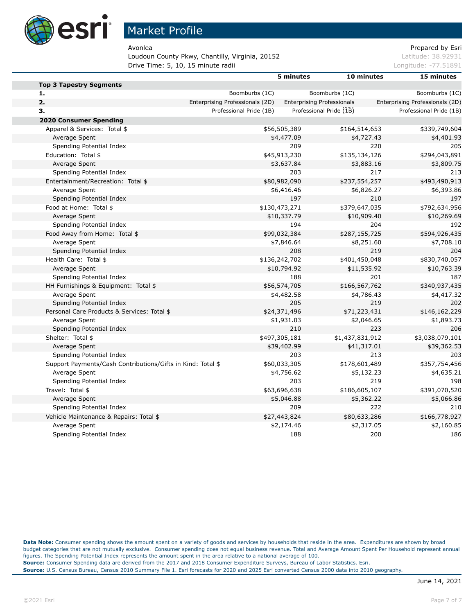

Loudoun County Pkwy, Chantilly, Virginia, 20152 March 2015 1998 1998 Latitude: 38.92931 **Drive Time: 5, 10, 15 minute radii Longitude: -77.51891** Longitude: -77.51891

Avonlea **Avonlea** Prepared by Esri

|                                                             |                                 | 5 minutes     | 10 minutes                        | 15 minutes                      |
|-------------------------------------------------------------|---------------------------------|---------------|-----------------------------------|---------------------------------|
| <b>Top 3 Tapestry Segments</b>                              |                                 |               |                                   |                                 |
| 1.                                                          | Boomburbs (1C)                  |               | Boomburbs (1C)                    | Boomburbs (1C)                  |
| 2.                                                          | Enterprising Professionals (2D) |               | <b>Enterprising Professionals</b> | Enterprising Professionals (2D) |
| 3.                                                          | Professional Pride (1B)         |               | Professional Pride (1B)           | Professional Pride (1B)         |
| <b>2020 Consumer Spending</b>                               |                                 |               |                                   |                                 |
| Apparel & Services: Total \$                                |                                 | \$56,505,389  | \$164,514,653                     | \$339,749,604                   |
| Average Spent                                               |                                 | \$4,477.09    | \$4,727.43                        | \$4,401.93                      |
| Spending Potential Index                                    |                                 | 209           | 220                               | 205                             |
| Education: Total \$                                         |                                 | \$45,913,230  | \$135,134,126                     | \$294,043,891                   |
| Average Spent                                               |                                 | \$3,637.84    | \$3,883.16                        | \$3,809.75                      |
| Spending Potential Index                                    |                                 | 203           | 217                               | 213                             |
| Entertainment/Recreation: Total \$                          |                                 | \$80,982,090  | \$237,554,257                     | \$493,490,913                   |
| Average Spent                                               |                                 | \$6,416.46    | \$6,826.27                        | \$6,393.86                      |
| Spending Potential Index                                    |                                 | 197           | 210                               | 197                             |
| Food at Home: Total \$                                      |                                 | \$130,473,271 | \$379,647,035                     | \$792,634,956                   |
| Average Spent                                               |                                 | \$10,337.79   | \$10,909.40                       | \$10,269.69                     |
| Spending Potential Index                                    |                                 | 194           | 204                               | 192                             |
| Food Away from Home: Total \$                               |                                 | \$99,032,384  | \$287,155,725                     | \$594,926,435                   |
| Average Spent                                               |                                 | \$7,846.64    | \$8,251.60                        | \$7,708.10                      |
| Spending Potential Index                                    |                                 | 208           | 219                               | 204                             |
| Health Care: Total \$                                       |                                 | \$136,242,702 | \$401,450,048                     | \$830,740,057                   |
| Average Spent                                               |                                 | \$10,794.92   | \$11,535.92                       | \$10,763.39                     |
| Spending Potential Index                                    |                                 | 188           | 201                               | 187                             |
| HH Furnishings & Equipment: Total \$                        |                                 | \$56,574,705  | \$166,567,762                     | \$340,937,435                   |
| Average Spent                                               |                                 | \$4,482.58    | \$4,786.43                        | \$4,417.32                      |
| Spending Potential Index                                    |                                 | 205           | 219                               | 202                             |
| Personal Care Products & Services: Total \$                 |                                 | \$24,371,496  | \$71,223,431                      | \$146,162,229                   |
| Average Spent                                               |                                 | \$1,931.03    | \$2,046.65                        | \$1,893.73                      |
| Spending Potential Index                                    |                                 | 210           | 223                               | 206                             |
| Shelter: Total \$                                           |                                 | \$497,305,181 | \$1,437,831,912                   | \$3,038,079,101                 |
| Average Spent                                               |                                 | \$39,402.99   | \$41,317.01                       | \$39,362.53                     |
| Spending Potential Index                                    |                                 | 203           | 213                               | 203                             |
| Support Payments/Cash Contributions/Gifts in Kind: Total \$ |                                 | \$60,033,305  | \$178,601,489                     | \$357,754,456                   |
| Average Spent                                               |                                 | \$4,756.62    | \$5,132.23                        | \$4,635.21                      |
| Spending Potential Index                                    |                                 | 203           | 219                               | 198                             |
| Travel: Total \$                                            |                                 | \$63,696,638  | \$186,605,107                     | \$391,070,520                   |
| Average Spent                                               |                                 | \$5,046.88    | \$5,362.22                        | \$5,066.86                      |
| Spending Potential Index                                    |                                 | 209           | 222                               | 210                             |
| Vehicle Maintenance & Repairs: Total \$                     |                                 | \$27,443,824  | \$80,633,286                      | \$166,778,927                   |
| Average Spent                                               |                                 | \$2,174.46    | \$2,317.05                        | \$2,160.85                      |
| Spending Potential Index                                    |                                 | 188           | 200                               | 186                             |

**Data Note:** Consumer spending shows the amount spent on a variety of goods and services by households that reside in the area. Expenditures are shown by broad budget categories that are not mutually exclusive. Consumer spending does not equal business revenue. Total and Average Amount Spent Per Household represent annual figures. The Spending Potential Index represents the amount spent in the area relative to a national average of 100. **Source:** Consumer Spending data are derived from the 2017 and 2018 Consumer Expenditure Surveys, Bureau of Labor Statistics. Esri. **Source:** U.S. Census Bureau, Census 2010 Summary File 1. Esri forecasts for 2020 and 2025 Esri converted Census 2000 data into 2010 geography.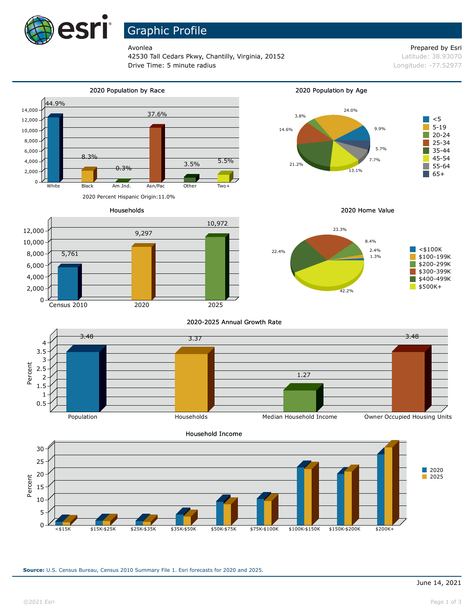

# Graphic Profile

42530 Tall Cedars Pkwy, Chantilly, Virginia, 20152 **Latitude: 38.93070** Latitude: 38.93070 **Drive Time: 5 minute radius Constanting Constanting Constanting Constanting Constanting Constanting Constanting Constanting Constanting Constanting Constanting Constanting Constanting Constanting Constanting Constanting** 

### Avonlea **Avonlea** Prepared by Esri







Households



2020 Home Value



2020-2025 Annual Growth Rate





**Source:** U.S. Census Bureau, Census 2010 Summary File 1. Esri forecasts for 2020 and 2025.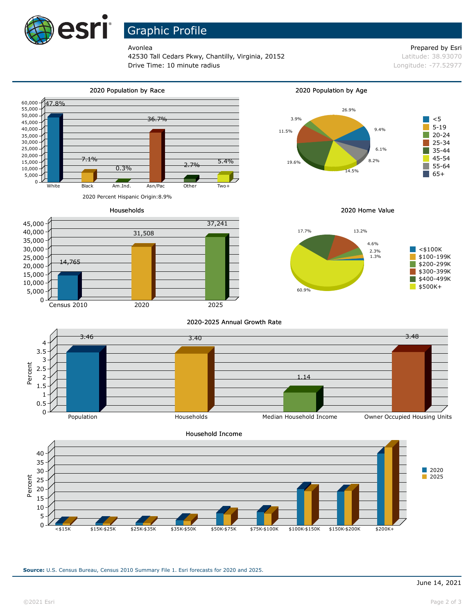

## Graphic Profile

42530 Tall Cedars Pkwy, Chantilly, Virginia, 20152 **Latitude: 38.93070** Latitude: 38.93070 **Drive Time: 10 minute radius Longitude: -77.52977** 

## Avonlea **Avonlea** Prepared by Esri



### 2020 Percent Hispanic Origin:8.9%



2020 Population by Age



2020 Home Value



2020-2025 Annual Growth Rate





**Source:** U.S. Census Bureau, Census 2010 Summary File 1. Esri forecasts for 2020 and 2025.